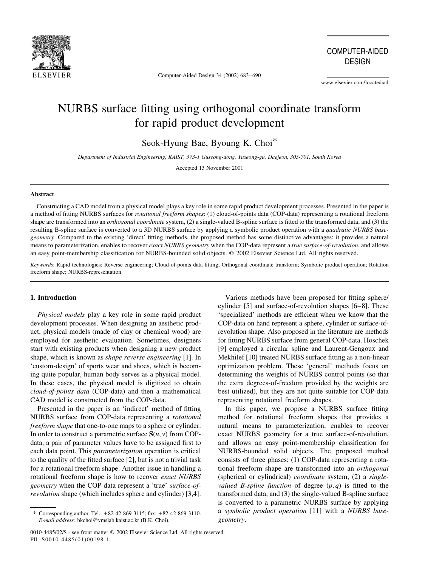

Computer-Aided Design 34 (2002) 683-690

**COMPUTER-AIDED DESIGN** 

www.elsevier.com/locate/cad

# NURBS surface fitting using orthogonal coordinate transform for rapid product development

Seok-Hyung Bae, Byoung K. Choi\*

Department of Industrial Engineering, KAIST, 373-1 Guseong-dong, Yuseong-gu, Daejeon, 305-701, South Korea

Accepted 13 November 2001

#### **Abstract**

Constructing a CAD model from a physical model plays a key role in some rapid product development processes. Presented in the paper is a method of fitting NURBS surfaces for *rotational freeform shapes*: (1) cloud-of-points data (COP-data) representing a rotational freeform shape are transformed into an *orthogonal coordinate* system, (2) a single-valued B-spline surface is fitted to the transformed data, and (3) the resulting B-spline surface is converted to a 3D NURBS surface by applying a symbolic product operation with a *quadratic NURBS base*geometry. Compared to the existing 'direct' fitting methods, the proposed method has some distinctive advantages: it provides a natural means to parameterization, enables to recover exact NURBS geometry when the COP-data represent a true surface-of-revolution, and allows an easy point-membership classification for NURBS-bounded solid objects. © 2002 Elsevier Science Ltd. All rights reserved.

Keywords: Rapid technologies; Reverse engineering; Cloud-of-points data fitting; Orthogonal coordinate transform; Symbolic product operation; Rotation freeform shape; NURBS-representation

# 1. Introduction

Physical models play a key role in some rapid product development processes. When designing an aesthetic product, physical models (made of clay or chemical wood) are employed for aesthetic evaluation. Sometimes, designers start with existing products when designing a new product shape, which is known as *shape reverse engineering* [1]. In 'custom-design' of sports wear and shoes, which is becoming quite popular, human body serves as a physical model. In these cases, the physical model is digitized to obtain cloud-of-points data (COP-data) and then a mathematical CAD model is constructed from the COP-data.

Presented in the paper is an 'indirect' method of fitting NURBS surface from COP-data representing a *rotational* freeform shape that one-to-one maps to a sphere or cylinder. In order to construct a parametric surface  $S(u, v)$  from COPdata, a pair of parameter values have to be assigned first to each data point. This *parameterization* operation is critical to the quality of the fitted surface [2], but is not a trivial task for a rotational freeform shape. Another issue in handling a rotational freeform shape is how to recover exact NURBS geometry when the COP-data represent a 'true' surface-of*revolution* shape (which includes sphere and cylinder) [3,4].

Various methods have been proposed for fitting sphere/ cylinder  $[5]$  and surface-of-revolution shapes  $[6-8]$ . These 'specialized' methods are efficient when we know that the COP-data on hand represent a sphere, cylinder or surface-ofrevolution shape. Also proposed in the literature are methods for fitting NURBS surface from general COP-data. Hoschek [9] employed a circular spline and Laurent-Gengoux and Mekhilef [10] treated NURBS surface fitting as a non-linear optimization problem. These 'general' methods focus on determining the weights of NURBS control points (so that the extra degrees-of-freedom provided by the weights are best utilized), but they are not quite suitable for COP-data representing rotational freeform shapes.

In this paper, we propose a NURBS surface fitting method for rotational freeform shapes that provides a natural means to parameterization, enables to recover exact NURBS geometry for a true surface-of-revolution, and allows an easy point-membership classification for NURBS-bounded solid objects. The proposed method consists of three phases: (1) COP-data representing a rotational freeform shape are transformed into an *orthogonal* (spherical or cylindrical) *coordinate* system, (2) a *single*valued B-spline function of degree  $(p, q)$  is fitted to the transformed data, and (3) the single-valued B-spline surface is converted to a parametric NURBS surface by applying a symbolic product operation [11] with a NURBS basegeometry.

Corresponding author. Tel.:  $+82-42-869-3115$ ; fax:  $+82-42-869-3110$ . E-mail address: bkchoi@vmslab.kaist.ac.kr (B.K. Choi).

<sup>0010-4485/02/\$ -</sup> see front matter © 2002 Elsevier Science Ltd. All rights reserved. PII: S0010-4485(01)00198-1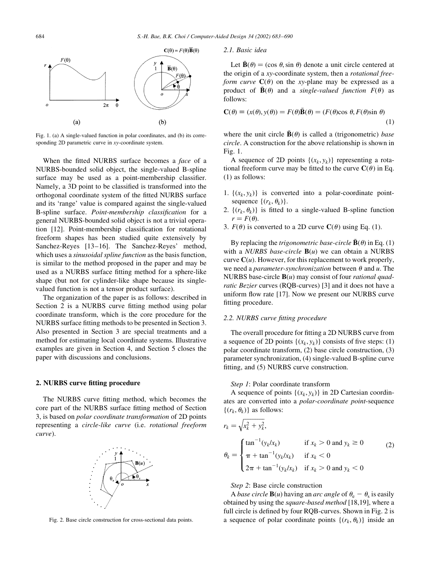

Fig. 1. (a) A single-valued function in polar coordinates, and (b) its corresponding 2D parametric curve in  $xy$ -coordinate system.

When the fitted NURBS surface becomes a face of a NURBS-bounded solid object, the single-valued B-spline surface may be used as a point-membership classifier. Namely, a 3D point to be classified is transformed into the orthogonal coordinate system of the fitted NURBS surface and its 'range' value is compared against the single-valued B-spline surface. Point-membership classification for a general NURBS-bounded solid object is not a trivial operation [12]. Point-membership classification for rotational freeform shapes has been studied quite extensively by Sanchez-Reyes [13-16]. The Sanchez-Reyes' method, which uses a *sinusoidal spline function* as the basis function, is similar to the method proposed in the paper and may be used as a NURBS surface fitting method for a sphere-like shape (but not for cylinder-like shape because its singlevalued function is not a tensor product surface).

The organization of the paper is as follows: described in Section 2 is a NURBS curve fitting method using polar coordinate transform, which is the core procedure for the NURBS surface fitting methods to be presented in Section 3. Also presented in Section 3 are special treatments and a method for estimating local coordinate systems. Illustrative examples are given in Section 4, and Section 5 closes the paper with discussions and conclusions.

#### 2. NURBS curve fitting procedure

The NURBS curve fitting method, which becomes the core part of the NURBS surface fitting method of Section 3, is based on *polar coordinate transformation* of 2D points representing a circle-like curve (i.e. rotational freeform curve).



Fig. 2. Base circle construction for cross-sectional data points.

#### 2.1. Basic idea

Let  $\bar{\mathbf{B}}(\theta) = (\cos \theta, \sin \theta)$  denote a unit circle centered at the origin of a xy-coordinate system, then a *rotational free*form curve  $C(\theta)$  on the xy-plane may be expressed as a product of  $\bar{\mathbf{B}}(\theta)$  and a single-valued function  $F(\theta)$  as follows:

$$
\mathbf{C}(\theta) \equiv (x(\theta), y(\theta)) = F(\theta)\mathbf{\bar{B}}(\theta) = (F(\theta)\cos\theta, F(\theta)\sin\theta)
$$
\n(1)

where the unit circle  $\bar{\mathbf{B}}(\theta)$  is called a (trigonometric) *base* circle. A construction for the above relationship is shown in Fig. 1.

A sequence of 2D points  $\{(x_k, y_k)\}\$  representing a rotational freeform curve may be fitted to the curve  $C(\theta)$  in Eq.  $(1)$  as follows:

- 1.  $\{(x_k, y_k)\}\$ is converted into a polar-coordinate pointsequence  $\{(r_k, \theta_k)\}.$
- 2.  $\{(r_k, \theta_k)\}\$ is fitted to a single-valued B-spline function  $r = F(\theta)$ .
- 3.  $F(\theta)$  is converted to a 2D curve  $C(\theta)$  using Eq. (1).

By replacing the *trigonometric base-circle*  $\mathbf{B}(\theta)$  in Eq. (1) with a *NURBS base-circle*  $B(u)$  we can obtain a NURBS curve  $C(u)$ . However, for this replacement to work properly, we need a *parameter-synchronization* between  $\theta$  and  $u$ . The NURBS base-circle  $B(u)$  may consist of four *rational quad*ratic Bezier curves (RQB-curves) [3] and it does not have a uniform flow rate [17]. Now we present our NURBS curve fitting procedure.

## 2.2. NURBS curve fitting procedure

The overall procedure for fitting a 2D NURBS curve from a sequence of 2D points  $\{(x_k, y_k)\}\)$  consists of five steps: (1) polar coordinate transform, (2) base circle construction, (3) parameter synchronization, (4) single-valued B-spline curve fitting, and (5) NURBS curve construction.

#### Step 1: Polar coordinate transform

A sequence of points  $\{(x_k, y_k)\}\$ in 2D Cartesian coordinates are converted into a *polar-coordinate point-sequence*  $\{(r_k, \theta_k)\}\$ as follows:

$$
r_k = \sqrt{x_k^2 + y_k^2},
$$
  
\n
$$
\theta_k = \begin{cases} \n\tan^{-1}(y_k/x_k) & \text{if } x_k > 0 \text{ and } y_k \ge 0\\ \n\t\pi + \tan^{-1}(y_k/x_k) & \text{if } x_k < 0\\ \n2\pi + \tan^{-1}(y_k/x_k) & \text{if } x_k > 0 \text{ and } y_k < 0 \n\end{cases}
$$
\n(2)

Step 2: Base circle construction

A base circle **B**(*u*) having an *arc* angle of  $\theta_e - \theta_s$  is easily obtained by using the *square-based method* [18,19], where a full circle is defined by four RQB-curves. Shown in Fig. 2 is a sequence of polar coordinate points  $\{(r_k, \theta_k)\}\$ inside an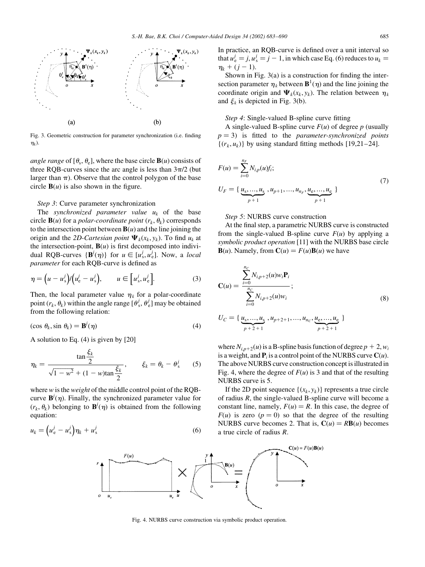

Fig. 3. Geometric construction for parameter synchronization (i.e. finding  $\eta_{\nu}$ )

*angle range* of  $[\theta_s, \theta_e]$ , where the base circle **B**(*u*) consists of three ROB-curves since the arc angle is less than  $3\pi/2$  (but larger than  $\pi$ ). Observe that the control polygon of the base circle  $B(u)$  is also shown in the figure.

# Step 3: Curve parameter synchronization

The synchronized parameter value  $u_k$  of the base circle **B**(*u*) for a *polar-coordinate point*  $(r_k, \theta_k)$  corresponds to the intersection point between  $B(u)$  and the line joining the origin and the 2D-Cartesian point  $\Psi_k(x_k, y_k)$ . To find  $u_k$  at the intersection-point,  $\mathbf{B}(u)$  is first decomposed into individual RQB-curves  $\{B'(\eta)\}\$ for  $u \in [u_s^j, u_e^j]$ . Now, a *local* parameter for each RQB-curve is defined as

$$
\eta = \left(u - u_s^j\right) / \left(u_e^j - u_s^j\right), \qquad u \in \left[u_s^j, u_e^j\right]. \tag{3}
$$

Then, the local parameter value  $\eta_k$  for a polar-coordinate point  $(r_k, \theta_k)$  within the angle range  $[\theta_s^j, \theta_e^j]$  may be obtained from the following relation:

$$
(\cos \theta_k, \sin \theta_k) = \mathbf{B}^j(\eta) \tag{4}
$$

A solution to Eq.  $(4)$  is given by [20]

$$
\eta_k = \frac{\tan\frac{\xi_k}{2}}{\sqrt{1 - w^2} + (1 - w)\tan\frac{\xi_k}{2}}, \qquad \xi_k = \theta_k - \theta_s^j \tag{5}
$$

where  $w$  is the *weight* of the middle control point of the RQBcurve  $\mathbf{B}^j(\eta)$ . Finally, the synchronized parameter value for  $(r_k, \theta_k)$  belonging to  $\mathbf{B}^j(\eta)$  is obtained from the following equation:

$$
u_k = \left(u_e^j - u_s^j\right)\eta_k + u_s^j\tag{6}
$$

In practice, an RQB-curve is defined over a unit interval so that  $u'_{e} = j$ ,  $u'_{s} = j - 1$ , in which case Eq. (6) reduces to  $u_{k} =$  $\eta_k + (j-1)$ .

Shown in Fig.  $3(a)$  is a construction for finding the intersection parameter  $\eta_k$  between  $\mathbf{B}^1(\eta)$  and the line joining the coordinate origin and  $\Psi_k(x_k, y_k)$ . The relation between  $\eta_k$ and  $\xi_k$  is depicted in Fig. 3(b).

## Step 4: Single-valued B-spline curve fitting

A single-valued B-spline curve  $F(u)$  of degree p (usually  $p = 3$ ) is fitted to the *parameter-synchronized points*  $\{(r_k, u_k)\}\$ by using standard fitting methods [19,21–24].

$$
F(u) = \sum_{i=0}^{n_F} N_{i,p}(u) f_i;
$$
  
\n
$$
U_F = \{ \underbrace{u_s, ..., u_s}_{p+1}, u_{p+1}, ..., u_{n_F}, \underbrace{u_e, ..., u_e}_{p+1} \}
$$
\n(7)

# Step 5: NURBS curve construction

At the final step, a parametric NURBS curve is constructed from the single-valued B-spline curve  $F(u)$  by applying a symbolic product operation [11] with the NURBS base circle  ${\bf B}(u)$ . Namely, from  ${\bf C}(u) = F(u){\bf B}(u)$  we have

$$
\mathbf{C}(u) = \frac{\sum_{i=0}^{n_C} N_{i,p+2}(u) w_i \mathbf{P}_i}{\sum_{i=0}^{n_C} N_{i,p+2}(u) w_i};
$$
\n(8)

$$
U_C = \{ \underbrace{u_s, ..., u_s}_{p+2+1}, u_{p+2+1}, ..., u_{n_C}, \underbrace{u_e, ..., u_e}_{p+2+1} \}
$$

where  $N_{i,p+2}(u)$  is a B-spline basis function of degree  $p + 2, w_i$ is a weight, and  $P_i$  is a control point of the NURBS curve  $C(u)$ . The above NURBS curve construction concept is illustrated in Fig. 4, where the degree of  $F(u)$  is 3 and that of the resulting NURBS curve is 5.

If the 2D point sequence  $\{(x_k, y_k)\}\)$  represents a true circle of radius  $R$ , the single-valued B-spline curve will become a constant line, namely,  $F(u) = R$ . In this case, the degree of  $F(u)$  is zero  $(p = 0)$  so that the degree of the resulting NURBS curve becomes 2. That is,  $C(u) = RB(u)$  becomes a true circle of radius  $R$ .



Fig. 4. NURBS curve construction via symbolic product operation.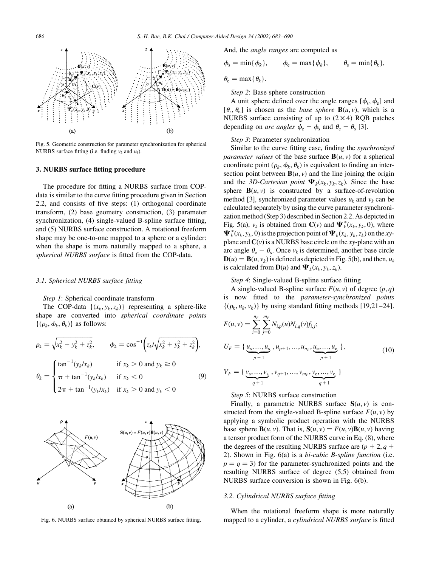

Fig. 5. Geometric construction for parameter synchronization for spherical NURBS surface fitting (i.e. finding  $v_k$  and  $u_k$ ).

#### 3. NURBS surface fitting procedure

The procedure for fitting a NURBS surface from COPdata is similar to the curve fitting procedure given in Section 2.2, and consists of five steps: (1) orthogonal coordinate transform, (2) base geometry construction, (3) parameter synchronization, (4) single-valued B-spline surface fitting, and (5) NURBS surface construction. A rotational freeform shape may be one-to-one mapped to a sphere or a cylinder: when the shape is more naturally mapped to a sphere, a spherical NURBS surface is fitted from the COP-data.

## 3.1. Spherical NURBS surface fitting

Step 1: Spherical coordinate transform

The COP-data  $\{(x_k, y_k, z_k)\}\$  representing a sphere-like shape are converted into spherical coordinate points  $\{(\rho_k, \phi_k, \theta_k)\}\$ as follows:

$$
\rho_k = \sqrt{x_k^2 + y_k^2 + z_k^2}, \qquad \phi_k = \cos^{-1}\left(z_k/\sqrt{x_k^2 + y_k^2 + z_k^2}\right),
$$
  

$$
\theta_k = \begin{cases} \tan^{-1}(y_k/x_k) & \text{if } x_k > 0 \text{ and } y_k \ge 0\\ \pi + \tan^{-1}(y_k/x_k) & \text{if } x_k < 0\\ 2\pi + \tan^{-1}(y_k/x_k) & \text{if } x_k > 0 \text{ and } y_k < 0 \end{cases}
$$
(9)



Fig. 6. NURBS surface obtained by spherical NURBS surface fitting.

And, the *angle ranges* are computed as

$$
\phi_{s} = \min\{\phi_{k}\}, \qquad \phi_{e} = \max\{\phi_{k}\}, \qquad \theta_{s} = \min\{\theta_{k}\}
$$

$$
\theta_{\rm e} = \max\{\theta_k\}.
$$

Step 2: Base sphere construction

A unit sphere defined over the angle ranges  $[\phi_s, \phi_e]$  and  $[\theta_{s}, \theta_{s}]$  is chosen as the *base sphere*  $\mathbf{B}(u, v)$ , which is a NURBS surface consisting of up to  $(2 \times 4)$  RQB patches depending on arc angles  $\phi_e - \phi_s$  and  $\theta_e - \theta_s$  [3].

## Step 3: Parameter synchronization

Similar to the curve fitting case, finding the synchronized *parameter values* of the base surface  $B(u, v)$  for a spherical coordinate point  $(\rho_k, \phi_k, \theta_k)$  is equivalent to finding an intersection point between  $B(u, v)$  and the line joining the origin and the 3D-Cartesian point  $\Psi_k(x_k, y_k, z_k)$ . Since the base sphere  $\mathbf{B}(u, v)$  is constructed by a surface-of-revolution method [3], synchronized parameter values  $u_k$  and  $v_k$  can be calculated separately by using the curve parameter synchronization method (Step 3) described in Section 2.2. As depicted in Fig. 5(a),  $v_k$  is obtained from  $\mathbf{C}(v)$  and  $\mathbf{\Psi}_k^*(x_k, y_k, 0)$ , where  $\Psi_k^*(x_k, y_k, 0)$  is the projection point of  $\Psi_k(x_k, y_k, z_k)$  on the xyplane and  $C(v)$  is a NURBS base circle on the xy-plane with an arc angle  $\theta_e - \theta_s$ . Once  $v_k$  is determined, another base circle  $\mathbf{D}(u) = \mathbf{B}(u, v_k)$  is defined as depicted in Fig. 5(b), and then,  $u_k$ is calculated from  $\mathbf{D}(u)$  and  $\mathbf{\Psi}_k(x_k, y_k, z_k)$ .

# Step 4: Single-valued B-spline surface fitting

A single-valued B-spline surface  $F(u, v)$  of degree  $(p, q)$ is now fitted to the parameter-synchronized points  $\{(\rho_k, u_k, v_k)\}\$  by using standard fitting methods [19,21–24].

$$
F(u, v) = \sum_{i=0}^{n_F} \sum_{j=0}^{m_F} N_{i,p}(u) N_{i,q}(v) f_{i,j};
$$
  
\n
$$
U_F = \{ \underbrace{u_s, ..., u_s}_{p+1}, u_{p+1}, ..., u_{n_F}, \underbrace{u_e, ..., u_e}_{p+1} \},
$$
  
\n
$$
V_F = \{ \underbrace{v_s, ..., v_s}_{q+1}, v_{q+1}, ..., v_{m_F}, \underbrace{v_e, ..., v_e}_{q+1} \}
$$
\n(10)

Step 5: NURBS surface construction

Finally, a parametric NURBS surface  $S(u, v)$  is constructed from the single-valued B-spline surface  $F(u, v)$  by applying a symbolic product operation with the NURBS base sphere  $\mathbf{B}(u, v)$ . That is,  $\mathbf{S}(u, v) = F(u, v)\mathbf{B}(u, v)$  having a tensor product form of the NURBS curve in Eq. (8), where the degrees of the resulting NURBS surface are  $(p + 2, q + 1)$ 2). Shown in Fig.  $6(a)$  is a bi-cubic B-spline function (i.e.  $p = q = 3$ ) for the parameter-synchronized points and the resulting NURBS surface of degree (5.5) obtained from NURBS surface conversion is shown in Fig. 6(b).

#### 3.2. Cylindrical NURBS surface fitting

When the rotational freeform shape is more naturally mapped to a cylinder, a *cylindrical NURBS* surface is fitted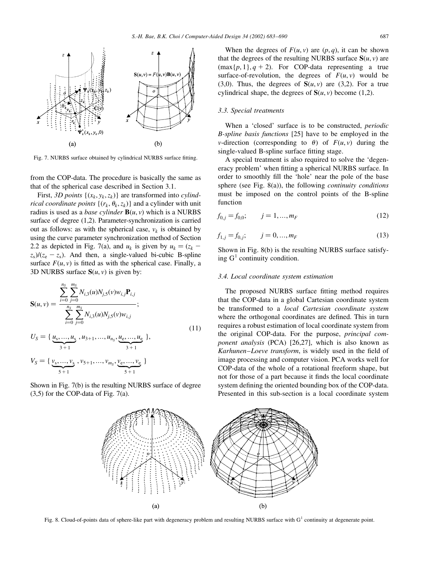

Fig. 7. NURBS surface obtained by cylindrical NURBS surface fitting.

from the COP-data. The procedure is basically the same as that of the spherical case described in Section 3.1.

First, 3D points  $\{(x_k, y_k, z_k)\}\$ are transformed into cylind*rical coordinate points*  $\{(r_k, \theta_k, z_k)\}\$ and a cylinder with unit radius is used as a *base cylinder*  $B(u, v)$  which is a NURBS surface of degree  $(1,2)$ . Parameter-synchronization is carried out as follows: as with the spherical case,  $v_k$  is obtained by using the curve parameter synchronization method of Section 2.2 as depicted in Fig. 7(a), and  $u_k$  is given by  $u_k = (z_k$  $z_s/(z_e - z_s)$ . And then, a single-valued bi-cubic B-spline surface  $F(u, v)$  is fitted as with the spherical case. Finally, a 3D NURBS surface  $S(u, v)$  is given by:

$$
\mathbf{S}(u, v) = \frac{\sum_{i=0}^{n_S} \sum_{j=0}^{m_S} N_{i,3}(u) N_{j,5}(v) w_{i,j} \mathbf{P}_{i,j}}{\sum_{i=0}^{n_S} \sum_{j=0}^{m_S} N_{i,3}(u) N_{j,5}(v) w_{i,j}};
$$
\n
$$
U_S = \{ \underbrace{u_s, ..., u_s}_{3+1}, u_{3+1}, ..., u_{n_S}, \underbrace{u_e, ..., u_e}_{3+1} \},
$$
\n(11)

$$
V_S = \{ \underbrace{v_s, ..., v_s}_{5+1}, v_{5+1}, ..., v_{m_S}, \underbrace{v_e, ..., v_e}_{5+1} \}
$$

Shown in Fig. 7(b) is the resulting NURBS surface of degree  $(3,5)$  for the COP-data of Fig. 7(a).

When the degrees of  $F(u, v)$  are  $(p, q)$ , it can be shown that the degrees of the resulting NURBS surface  $S(u, v)$  are  $(\max\{p, 1\}, q + 2)$ . For COP-data representing a true surface-of-revolution, the degrees of  $F(u, v)$  would be  $(3,0)$ . Thus, the degrees of  $S(u, v)$  are  $(3,2)$ . For a true cylindrical shape, the degrees of  $S(u, v)$  become (1,2).

#### 3.3. Special treatments

When a 'closed' surface is to be constructed, *periodic* B-spline basis functions [25] have to be employed in the *v*-direction (corresponding to  $\theta$ ) of  $F(u, v)$  during the single-valued B-spline surface fitting stage.

A special treatment is also required to solve the 'degeneracy problem' when fitting a spherical NURBS surface. In order to smoothly fill the 'hole' near the pole of the base sphere (see Fig. 8(a)), the following *continuity conditions* must be imposed on the control points of the B-spline function

$$
f_{0,j} = f_{0,0}; \qquad j = 1, ..., m_F
$$
 (12)

$$
f_{1,j} = f_{0,j}; \qquad j = 0, ..., m_F
$$
 (13)

Shown in Fig. 8(b) is the resulting NURBS surface satisfying  $G<sup>1</sup>$  continuity condition.

# 3.4. Local coordinate system estimation

The proposed NURBS surface fitting method requires that the COP-data in a global Cartesian coordinate system be transformed to a *local Cartesian coordinate system* where the orthogonal coordinates are defined. This in turn requires a robust estimation of local coordinate system from the original COP-data. For the purpose, *principal com*ponent analysis (PCA) [26,27], which is also known as Karhunen-Loeve transform, is widely used in the field of image processing and computer vision. PCA works well for COP-data of the whole of a rotational freeform shape, but not for those of a part because it finds the local coordinate system defining the oriented bounding box of the COP-data. Presented in this sub-section is a local coordinate system



Fig. 8. Cloud-of-points data of sphere-like part with degeneracy problem and resulting NURBS surface with  $G<sup>1</sup>$  continuity at degenerate point.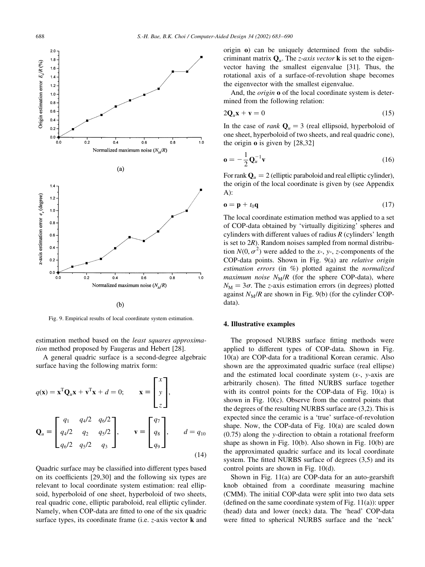

 $(b)$ 

Fig. 9. Empirical results of local coordinate system estimation.

estimation method based on the least squares approximation method proposed by Faugeras and Hebert [28].

A general quadric surface is a second-degree algebraic surface having the following matrix form:

$$
q(\mathbf{x}) = \mathbf{x}^{\mathrm{T}} \mathbf{Q}_{u} \mathbf{x} + \mathbf{v}^{\mathrm{T}} \mathbf{x} + d = 0; \qquad \mathbf{x} = \begin{bmatrix} x \\ y \\ z \end{bmatrix},
$$

$$
\mathbf{Q}_{u} = \begin{bmatrix} q_{1} & q_{4}/2 & q_{6}/2 \\ q_{4}/2 & q_{2} & q_{5}/2 \\ q_{6}/2 & q_{5}/2 & q_{3} \end{bmatrix}, \qquad \mathbf{v} = \begin{bmatrix} q_{7} \\ q_{8} \\ q_{9} \end{bmatrix}, \qquad d = q_{10}
$$
(14)

Quadric surface may be classified into different types based on its coefficients [29,30] and the following six types are relevant to local coordinate system estimation: real ellipsoid, hyperboloid of one sheet, hyperboloid of two sheets, real quadric cone, elliptic paraboloid, real elliptic cylinder. Namely, when COP-data are fitted to one of the six quadric surface types, its coordinate frame (i.e.  $z$ -axis vector **k** and origin o) can be uniquely determined from the subdiscriminant matrix  $\mathbf{Q}_u$ . The *z*-*axis vector* **k** is set to the eigenvector having the smallest eigenvalue [31]. Thus, the rotational axis of a surface-of-revolution shape becomes the eigenvector with the smallest eigenvalue.

And, the *origin* o of the local coordinate system is determined from the following relation:

$$
2\mathbf{Q}_u \mathbf{x} + \mathbf{v} = 0 \tag{15}
$$

In the case of *rank*  $\mathbf{Q}_u = 3$  (real ellipsoid, hyperboloid of one sheet, hyperboloid of two sheets, and real quadric cone), the origin  $\bf{o}$  is given by [28,32]

$$
\mathbf{o} = -\frac{1}{2}\mathbf{Q}_u^{-1}\mathbf{v} \tag{16}
$$

For rank  $\mathbf{Q}_u = 2$  (elliptic paraboloid and real elliptic cylinder), the origin of the local coordinate is given by (see Appendix  $A)$ :

$$
\mathbf{o} = \mathbf{p} + t_0 \mathbf{q} \tag{17}
$$

The local coordinate estimation method was applied to a set of COP-data obtained by 'virtually digitizing' spheres and cylinders with different values of radius  $R$  (cylinders' length is set to  $2R$ ). Random noises sampled from normal distribution  $N(0, \sigma^2)$  were added to the x-, y-, z-components of the COP-data points. Shown in Fig. 9(a) are relative origin estimation errors (in %) plotted against the normalized *maximum noise*  $N_M/R$  (for the sphere COP-data), where  $N_{\rm M} = 3\sigma$ . The z-axis estimation errors (in degrees) plotted against  $N_M/R$  are shown in Fig. 9(b) (for the cylinder COPdata).

## 4. Illustrative examples

The proposed NURBS surface fitting methods were applied to different types of COP-data. Shown in Fig. 10(a) are COP-data for a traditional Korean ceramic. Also shown are the approximated quadric surface (real ellipse) and the estimated local coordinate system  $(x-$ ,  $y$ -axis are arbitrarily chosen). The fitted NURBS surface together with its control points for the COP-data of Fig.  $10(a)$  is shown in Fig.  $10(c)$ . Observe from the control points that the degrees of the resulting NURBS surface are (3,2). This is expected since the ceramic is a 'true' surface-of-revolution shape. Now, the COP-data of Fig. 10(a) are scaled down  $(0.75)$  along the y-direction to obtain a rotational freeform shape as shown in Fig.  $10(b)$ . Also shown in Fig.  $10(b)$  are the approximated quadric surface and its local coordinate system. The fitted NURBS surface of degrees (3,5) and its control points are shown in Fig. 10(d).

Shown in Fig.  $11(a)$  are COP-data for an auto-gearshift knob obtained from a coordinate measuring machine (CMM). The initial COP-data were split into two data sets (defined on the same coordinate system of Fig.  $11(a)$ ): upper (head) data and lower (neck) data. The 'head' COP-data were fitted to spherical NURBS surface and the 'neck'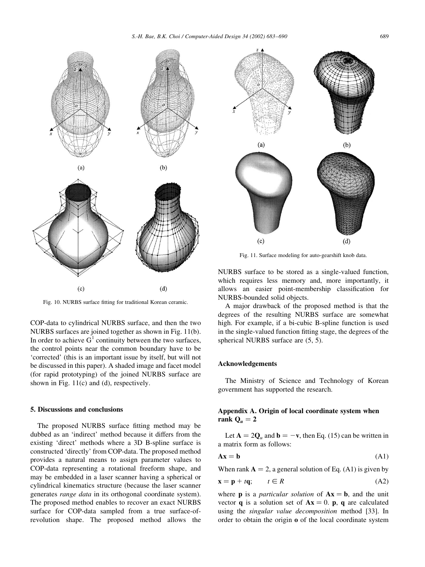



Fig. 10. NURBS surface fitting for traditional Korean ceramic.

COP-data to cylindrical NURBS surface, and then the two NURBS surfaces are joined together as shown in Fig. 11(b). In order to achieve  $G<sup>1</sup>$  continuity between the two surfaces, the control points near the common boundary have to be 'corrected' (this is an important issue by itself, but will not be discussed in this paper). A shaded image and facet model (for rapid prototyping) of the joined NURBS surface are shown in Fig.  $11(c)$  and (d), respectively.

# 5. Discussions and conclusions

The proposed NURBS surface fitting method may be dubbed as an 'indirect' method because it differs from the existing 'direct' methods where a 3D B-spline surface is constructed 'directly' from COP-data. The proposed method provides a natural means to assign parameter values to COP-data representing a rotational freeform shape, and may be embedded in a laser scanner having a spherical or cylindrical kinematics structure (because the laser scanner generates range data in its orthogonal coordinate system). The proposed method enables to recover an exact NURBS surface for COP-data sampled from a true surface-ofrevolution shape. The proposed method allows the



Fig. 11. Surface modeling for auto-gearshift knob data.

NURBS surface to be stored as a single-valued function, which requires less memory and, more importantly, it allows an easier point-membership classification for NURBS-bounded solid objects.

A major drawback of the proposed method is that the degrees of the resulting NURBS surface are somewhat high. For example, if a bi-cubic B-spline function is used in the single-valued function fitting stage, the degrees of the spherical NURBS surface are (5, 5).

#### **Acknowledgements**

 $\overline{\mu}$ 

The Ministry of Science and Technology of Korean government has supported the research.

# Appendix A. Origin of local coordinate system when rank  $Q_u = 2$

Let  $A = 2Q_u$  and  $b = -v$ , then Eq. (15) can be written in a matrix form as follows:

$$
\mathbf{A}\mathbf{x} = \mathbf{b} \tag{A1}
$$

When rank  $A = 2$ , a general solution of Eq. (A1) is given by Ì.

$$
\mathbf{x} = \mathbf{p} + t\mathbf{q}; \qquad t \in \mathbb{R} \tag{A2}
$$

where **p** is a *particular solution* of  $Ax = b$ , and the unit vector **q** is a solution set of  $Ax = 0$ . **p**, **q** are calculated using the *singular value decomposition* method [33]. In order to obtain the origin o of the local coordinate system